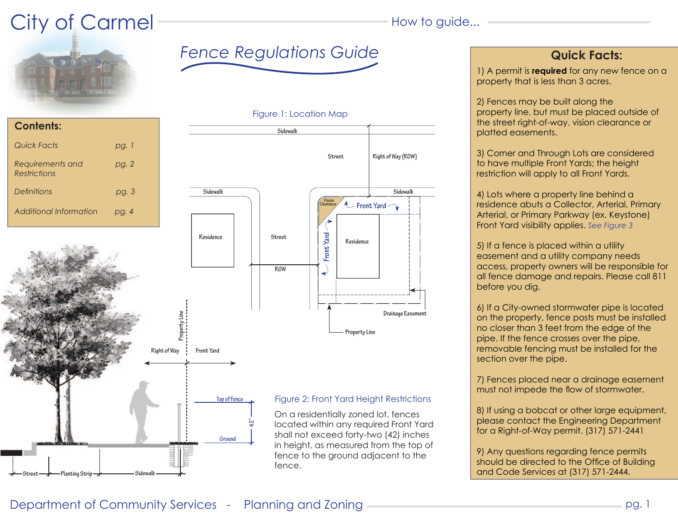# City of Carmel **How to guide...**





**Contents:** *Quick Facts pg. 1 Requirements and pg. 2 Restrictions Definitions pg. 3* 







shall not exceed forty-two (42) inches in height, as measured from the top of fence to the ground adjacent to the fence.

1) A permit is **required** for any new fence on a property that is less than 3 acres.

2) Fences may be built along the property line, but must be placed outside of the street right-of-way, vision clearance or platted easements.

3) Corner and Through Lots are considered to have multiple Front Yards; the height restriction will apply to all Front Yards.

4) Lots where a property line behind a residence abuts a Collector, Arterial, Primary Arterial, or Primary Parkway (ex. Keystone) Front Yard visibility applies. *See Figure 3*

5) If a fence is placed within a utility easement and a utility company needs access, property owners will be responsible for all fence damage and repairs. Please call 811 before you dig.

6) If a City-owned stormwater pipe is located on the property, fence posts must be installed no closer than 3 feet from the edge of the pipe. If the fence crosses over the pipe, removable fencing must be installed for the section over the pipe.

7) Fences placed near a drainage easement must not impede the flow of stormwater.

8) If using a bobcat or other large equipment, please contact the Engineering Department for a Right-of-Way permit. (317) 571-2441

9) Any questions regarding fence permits should be directed to the Office of Building and Code Services at (317) 571-2444.

## Department of Community Services - Planning and Zoning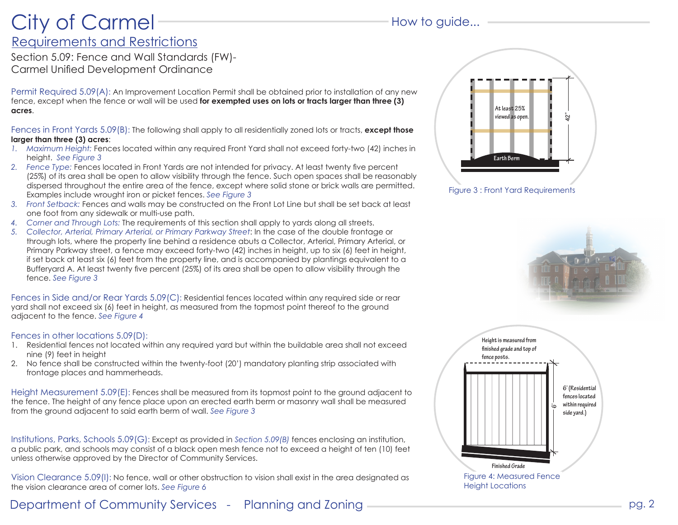# Requirements and Restrictions City of Carmel **How to guide...**

Section 5.09: Fence and Wall Standards (FW)- Carmel Unified Development Ordinance

Permit Required 5.09(A): An Improvement Location Permit shall be obtained prior to installation of any new fence, except when the fence or wall will be used **for exempted uses on lots or tracts larger than three (3) acres**.

Fences in Front Yards 5.09(B): The following shall apply to all residentially zoned lots or tracts, **except those larger than three (3) acres**:

- *1. Maximum Height:* Fences located within any required Front Yard shall not exceed forty-two (42) inches in height. *See Figure 3*
- *2. Fence Type:* Fences located in Front Yards are not intended for privacy. At least twenty five percent (25%) of its area shall be open to allow visibility through the fence. Such open spaces shall be reasonably dispersed throughout the entire area of the fence, except where solid stone or brick walls are permitted. Examples include wrought iron or picket fences. *See Figure 3*
- *3. Front Setback:* Fences and walls may be constructed on the Front Lot Line but shall be set back at least one foot from any sidewalk or multi-use path.
- *4. Corner and Through Lots:* The requirements of this section shall apply to yards along all streets.
- *5. Collector, Arterial, Primary Arterial, or Primary Parkway Street*: In the case of the double frontage or through lots, where the property line behind a residence abuts a Collector, Arterial, Primary Arterial, or Primary Parkway street, a fence may exceed forty-two (42) inches in height, up to six (6) feet in height, if set back at least six (6) feet from the property line, and is accompanied by plantings equivalent to a Bufferyard A. At least twenty five percent (25%) of its area shall be open to allow visibility through the fence. *See Figure 3*

Fences in Side and/or Rear Yards 5.09(C): Residential fences located within any required side or rear yard shall not exceed six (6) feet in height, as measured from the topmost point thereof to the ground adjacent to the fence. *See Figure 4*

## Fences in other locations 5.09(D):

- 1. Residential fences not located within any required yard but within the buildable area shall not exceed nine (9) feet in height
- 2. No fence shall be constructed within the twenty-foot (20') mandatory planting strip associated with frontage places and hammerheads.

Height Measurement 5.09(E): Fences shall be measured from its topmost point to the ground adjacent to the fence. The height of any fence place upon an erected earth berm or masonry wall shall be measured from the ground adjacent to said earth berm of wall. *See Figure 3*

Institutions, Parks, Schools 5.09(G): Except as provided in *Section 5.09(B)* fences enclosing an institution, a public park, and schools may consist of a black open mesh fence not to exceed a height of ten (10) feet unless otherwise approved by the Director of Community Services.

Vision Clearance 5.09(I): No fence, wall or other obstruction to vision shall exist in the area designated as the vision clearance area of corner lots. *See Figure 6*

Department of Community Services - Planning and Zoning





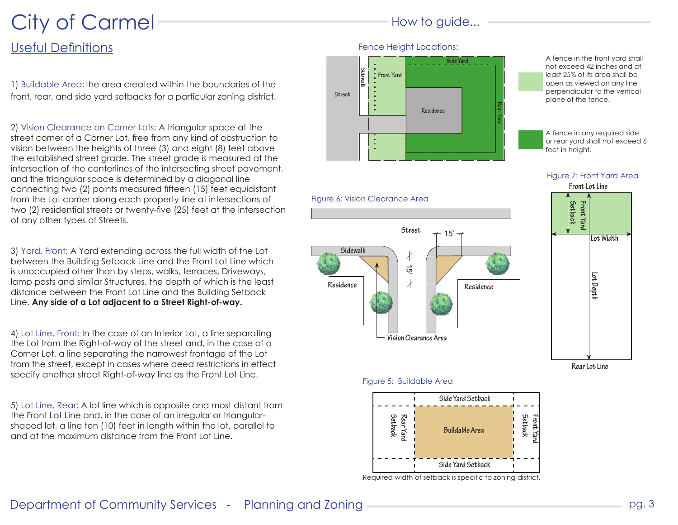# City of Carmel **How to guide...**

# Useful Definitions

1) Buildable Area: the area created within the boundaries of the front, rear, and side yard setbacks for a particular zoning district.

2) Vision Clearance on Corner Lots: A triangular space at the street corner of a Corner Lot, free from any kind of obstruction to vision between the heights of three (3) and eight (8) feet above the established street grade. The street grade is measured at the intersection of the centerlines of the intersecting street pavement, and the triangular space is determined by a diagonal line connecting two (2) points measured fifteen (15) feet equidistant from the Lot corner along each property line at intersections of two (2) residential streets or twenty-five (25) feet at the intersection of any other types of Streets.

3) Yard, Front: A Yard extending across the full width of the Lot between the Building Setback Line and the Front Lot Line which is unoccupied other than by steps, walks, terraces, Driveways, lamp posts and similar Structures, the depth of which is the least distance between the Front Lot Line and the Building Setback Line. **Any side of a Lot adjacent to a Street Right-of-way.**

4) Lot Line, Front: In the case of an Interior Lot, a line separating the Lot from the Right-of-way of the street and, in the case of a Corner Lot, a line separating the narrowest frontage of the Lot from the street, except in cases where deed restrictions in effect specify another street Right-of-way line as the Front Lot Line.

5) Lot Line, Rear: A lot line which is opposite and most distant from the Front Lot Line and, in the case of an irregular or triangularshaped lot, a line ten (10) feet in length within the lot, parallel to and at the maximum distance from the Front Lot Line.





A fence in the front yard shall not exceed 42 inches and at least 25% of its area shall be open as viewed on any line perpendicular to the vertical plane of the fence.

A fence in any required side or rear yard shall not exceed 6 feet in height.



**Setback Front Yard**

**Lot Depth**

**Rear Lot Line**

**Lot Width**



## Figure 5: Buildable Area



Required width of setback is specific to zoning district.

## Department of Community Services - Planning and Zoning